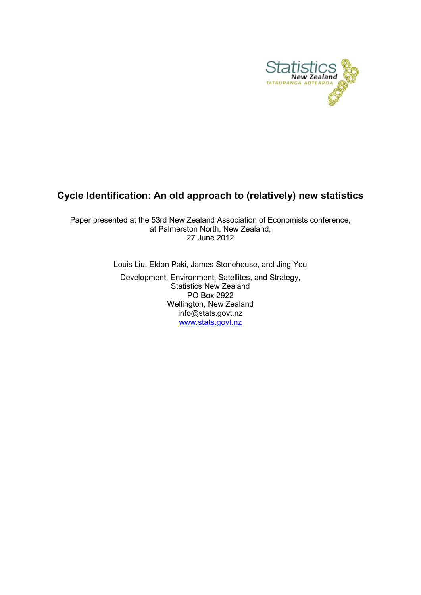

## Cycle Identification: An old approach to (relatively) new statistics

Paper presented at the 53rd New Zealand Association of Economists conference, at Palmerston North, New Zealand, 27 June 2012

Louis Liu, Eldon Paki, James Stonehouse, and Jing You

Development, Environment, Satellites, and Strategy, Statistics New Zealand PO Box 2922 Wellington, New Zealand info@stats.govt.nz [www.stats.govt.nz](http://www.stats.govt.nz/)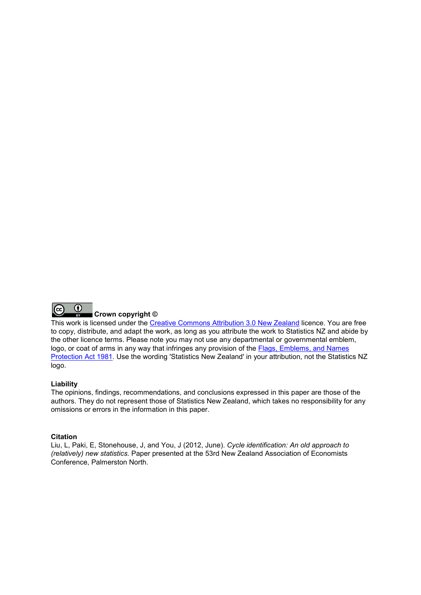

### Crown copyright ©

This work is licensed under the [Creative Commons Attribution 3.0 New Zealand](http://creativecommons.org/licenses/by/3.0/nz/deed.en) licence. You are free to copy, distribute, and adapt the work, as long as you attribute the work to Statistics NZ and abide by the other licence terms. Please note you may not use any departmental or governmental emblem, logo, or coat of arms in any way that infringes any provision of the [Flags, Emblems, and Names](http://www.legislation.govt.nz/act/public/1981/0047/latest/DLM51358.html)  [Protection Act 1981.](http://www.legislation.govt.nz/act/public/1981/0047/latest/DLM51358.html) Use the wording 'Statistics New Zealand' in your attribution, not the Statistics NZ logo.

#### Liability

The opinions, findings, recommendations, and conclusions expressed in this paper are those of the authors. They do not represent those of Statistics New Zealand, which takes no responsibility for any omissions or errors in the information in this paper.

#### **Citation**

Liu, L, Paki, E, Stonehouse, J, and You, J (2012, June). Cycle identification: An old approach to (relatively) new statistics. Paper presented at the 53rd New Zealand Association of Economists Conference, Palmerston North.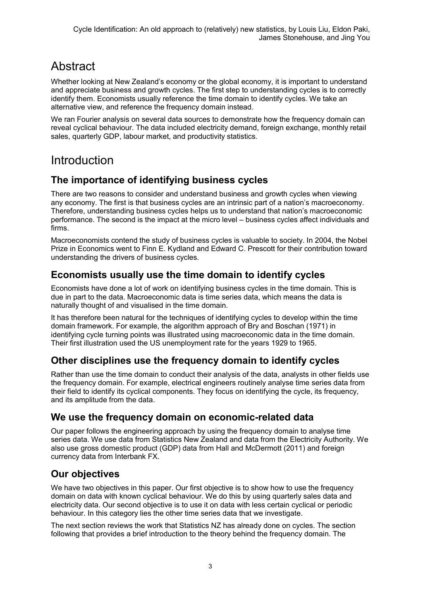# **Abstract**

Whether looking at New Zealand's economy or the global economy, it is important to understand and appreciate business and growth cycles. The first step to understanding cycles is to correctly identify them. Economists usually reference the time domain to identify cycles. We take an alternative view, and reference the frequency domain instead.

We ran Fourier analysis on several data sources to demonstrate how the frequency domain can reveal cyclical behaviour. The data included electricity demand, foreign exchange, monthly retail sales, quarterly GDP, labour market, and productivity statistics.

# Introduction

## The importance of identifying business cycles

There are two reasons to consider and understand business and growth cycles when viewing any economy. The first is that business cycles are an intrinsic part of a nation's macroeconomy. Therefore, understanding business cycles helps us to understand that nation's macroeconomic performance. The second is the impact at the micro level – business cycles affect individuals and firms.

Macroeconomists contend the study of business cycles is valuable to society. In 2004, the Nobel Prize in Economics went to Finn E. Kydland and Edward C. Prescott for their contribution toward understanding the drivers of business cycles.

## Economists usually use the time domain to identify cycles

Economists have done a lot of work on identifying business cycles in the time domain. This is due in part to the data. Macroeconomic data is time series data, which means the data is naturally thought of and visualised in the time domain.

It has therefore been natural for the techniques of identifying cycles to develop within the time domain framework. For example, the algorithm approach of Bry and Boschan (1971) in identifying cycle turning points was illustrated using macroeconomic data in the time domain. Their first illustration used the US unemployment rate for the years 1929 to 1965.

## Other disciplines use the frequency domain to identify cycles

Rather than use the time domain to conduct their analysis of the data, analysts in other fields use the frequency domain. For example, electrical engineers routinely analyse time series data from their field to identify its cyclical components. They focus on identifying the cycle, its frequency, and its amplitude from the data.

## We use the frequency domain on economic-related data

Our paper follows the engineering approach by using the frequency domain to analyse time series data. We use data from Statistics New Zealand and data from the Electricity Authority. We also use gross domestic product (GDP) data from Hall and McDermott (2011) and foreign currency data from Interbank FX.

## Our objectives

We have two objectives in this paper. Our first objective is to show how to use the frequency domain on data with known cyclical behaviour. We do this by using quarterly sales data and electricity data. Our second objective is to use it on data with less certain cyclical or periodic behaviour. In this category lies the other time series data that we investigate.

The next section reviews the work that Statistics NZ has already done on cycles. The section following that provides a brief introduction to the theory behind the frequency domain. The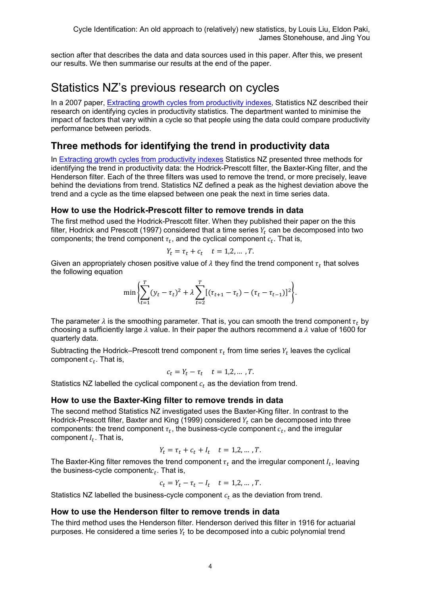section after that describes the data and data sources used in this paper. After this, we present our results. We then summarise our results at the end of the paper.

## Statistics NZ's previous research on cycles

In a 2007 paper, [Extracting growth cycles from productivity indexes,](http://www.stats.govt.nz/browse_for_stats/income-and-work/employment_and_unemployment/extracting-growth-cycles.aspx) Statistics NZ described their research on identifying cycles in productivity statistics. The department wanted to minimise the impact of factors that vary within a cycle so that people using the data could compare productivity performance between periods.

## Three methods for identifying the trend in productivity data

In [Extracting growth cycles from productivity indexes](http://www.stats.govt.nz/browse_for_stats/income-and-work/employment_and_unemployment/extracting-growth-cycles.aspx) Statistics NZ presented three methods for identifying the trend in productivity data: the Hodrick-Prescott filter, the Baxter-King filter, and the Henderson filter. Each of the three filters was used to remove the trend, or more precisely, leave behind the deviations from trend. Statistics NZ defined a peak as the highest deviation above the trend and a cycle as the time elapsed between one peak the next in time series data.

### How to use the Hodrick-Prescott filter to remove trends in data

The first method used the Hodrick-Prescott filter. When they published their paper on the this filter, Hodrick and Prescott (1997) considered that a time series  $Y_t$  can be decomposed into two components; the trend component  $\tau_t$ , and the cyclical component  $c_t$ . That is,

$$
Y_t = \tau_t + c_t \quad t = 1, 2, \dots, T.
$$

Given an appropriately chosen positive value of  $\lambda$  they find the trend component  $\tau_t$  that solves the following equation

$$
\min \left\{ \sum_{t=1}^{T} (y_t - \tau_t)^2 + \lambda \sum_{t=2}^{T} [(\tau_{t+1} - \tau_t) - (\tau_t - \tau_{t-1})]^2 \right\}.
$$

The parameter  $\lambda$  is the smoothing parameter. That is, you can smooth the trend component  $\tau_t$  by choosing a sufficiently large  $\lambda$  value. In their paper the authors recommend a  $\lambda$  value of 1600 for quarterly data.

Subtracting the Hodrick–Prescott trend component  $\tau_t$  from time series  $Y_t$  leaves the cyclical component  $c_t$ . That is,

$$
c_t = Y_t - \tau_t \quad t = 1, 2, \dots, T.
$$

Statistics NZ labelled the cyclical component  $c_t$  as the deviation from trend.

### How to use the Baxter-King filter to remove trends in data

The second method Statistics NZ investigated uses the Baxter-King filter. In contrast to the Hodrick-Prescott filter, Baxter and King (1999) considered  $Y_t$  can be decomposed into three components: the trend component  $\tau_t$ , the business-cycle component  $c_t$ , and the irregular component  $I_t$ . That is,

$$
Y_t = \tau_t + c_t + I_t \quad t = 1, 2, \dots, T.
$$

The Baxter-King filter removes the trend component  $\tau_t$  and the irregular component  $I_t$ , leaving the business-cycle component $c_t$ . That is,

$$
c_t = Y_t - \tau_t - I_t \quad t = 1, 2, \dots, T.
$$

Statistics NZ labelled the business-cycle component  $c_t$  as the deviation from trend.

### How to use the Henderson filter to remove trends in data

The third method uses the Henderson filter. Henderson derived this filter in 1916 for actuarial purposes. He considered a time series  $Y_t$  to be decomposed into a cubic polynomial trend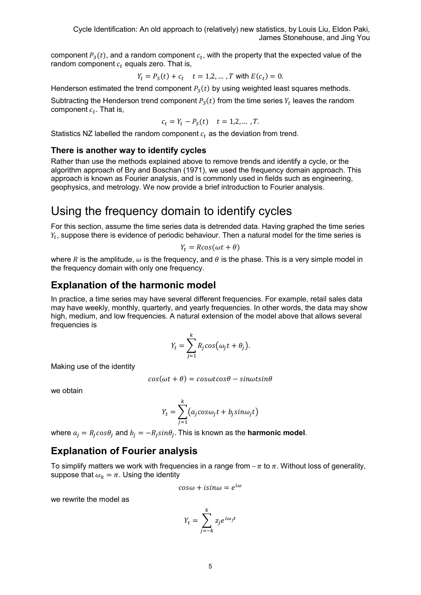component  $P_3(t)$ , and a random component  $c_t$ , with the property that the expected value of the random component  $c_t$  equals zero. That is,

$$
Y_t = P_3(t) + c_t
$$
  $t = 1, 2, ... , T$  with  $E(c_t) = 0$ .

Henderson estimated the trend component  $P_3(t)$  by using weighted least squares methods.

Subtracting the Henderson trend component  $P_3(t)$  from the time series  $Y_t$  leaves the random component  $c_t$ . That is,

$$
c_t = Y_t - P_3(t) \quad t = 1, 2, \dots, T.
$$

Statistics NZ labelled the random component  $c_t$  as the deviation from trend.

### There is another way to identify cycles

Rather than use the methods explained above to remove trends and identify a cycle, or the algorithm approach of Bry and Boschan (1971), we used the frequency domain approach. This approach is known as Fourier analysis, and is commonly used in fields such as engineering, geophysics, and metrology. We now provide a brief introduction to Fourier analysis.

# Using the frequency domain to identify cycles

For this section, assume the time series data is detrended data. Having graphed the time series  $Y_t$ , suppose there is evidence of periodic behaviour. Then a natural model for the time series is

$$
Y_t = R\cos(\omega t + \theta)
$$

where R is the amplitude,  $\omega$  is the frequency, and  $\theta$  is the phase. This is a very simple model in the frequency domain with only one frequency.

## Explanation of the harmonic model

In practice, a time series may have several different frequencies. For example, retail sales data may have weekly, monthly, quarterly, and yearly frequencies. In other words, the data may show high, medium, and low frequencies. A natural extension of the model above that allows several frequencies is

$$
Y_t = \sum_{j=1}^k R_j \cos(\omega_j t + \theta_j).
$$

Making use of the identity

$$
cos(\omega t + \theta) = cos\omega t cos\theta - sin\omega t sin\theta
$$

we obtain

$$
Y_t = \sum_{j=1}^k (a_j \cos \omega_j t + b_j \sin \omega_j t)
$$

where  $a_i = R_i cos\theta_i$  and  $b_i = -R_i sin\theta_i$ . This is known as the **harmonic model**.

## Explanation of Fourier analysis

To simplify matters we work with frequencies in a range from  $-\pi$  to  $\pi$ . Without loss of generality, suppose that  $\omega_k = \pi$ . Using the identity

$$
cos\omega + isin\omega = e^{i\omega}
$$

we rewrite the model as

$$
Y_t = \sum_{j=-k}^{k} z_j e^{i\omega_j t}
$$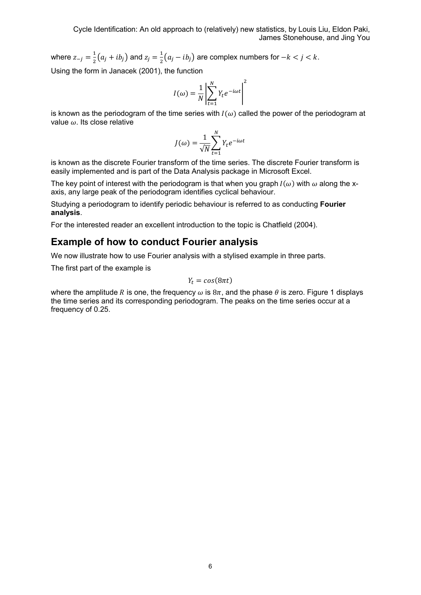where  $z_{-j} = \frac{1}{2}(a_j + ib_j)$  and  $z_j = \frac{1}{2}(a_j - ib_j)$  are complex numbers for  $-k < j < k$ .

Using the form in Janacek (2001), the function

$$
I(\omega) = \frac{1}{N} \left| \sum_{t=1}^{N} Y_t e^{-i\omega t} \right|^2
$$

is known as the periodogram of the time series with  $I(\omega)$  called the power of the periodogram at value  $\omega$ . Its close relative

$$
J(\omega) = \frac{1}{\sqrt{N}} \sum_{t=1}^{N} Y_t e^{-i\omega t}
$$

is known as the discrete Fourier transform of the time series. The discrete Fourier transform is easily implemented and is part of the Data Analysis package in Microsoft Excel.

The key point of interest with the periodogram is that when you graph  $I(\omega)$  with  $\omega$  along the xaxis, any large peak of the periodogram identifies cyclical behaviour.

Studying a periodogram to identify periodic behaviour is referred to as conducting Fourier analysis.

For the interested reader an excellent introduction to the topic is Chatfield (2004).

### Example of how to conduct Fourier analysis

We now illustrate how to use Fourier analysis with a stylised example in three parts.

The first part of the example is

$$
Y_t = cos(8\pi t)
$$

where the amplitude R is one, the frequency  $\omega$  is  $8\pi$ , and the phase  $\theta$  is zero. Figure 1 displays the time series and its corresponding periodogram. The peaks on the time series occur at a frequency of 0.25.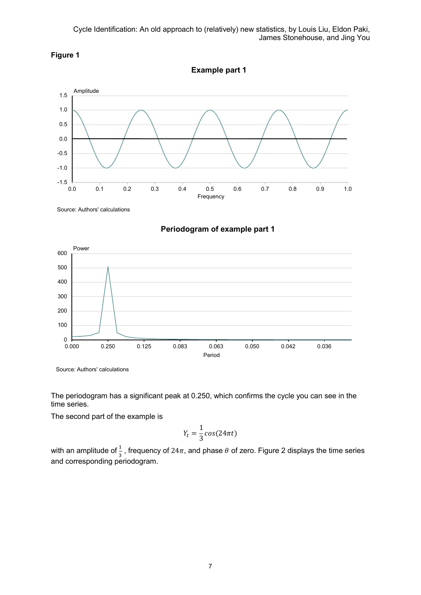

Example part 1



Source: Authors' calculations





Source: Authors' calculations

The periodogram has a significant peak at 0.250, which confirms the cycle you can see in the time series.

The second part of the example is

$$
Y_t = \frac{1}{3}\cos(24\pi t)
$$

with an amplitude of  $\frac{1}{3}$ , frequency of 24 $\pi$ , and phase  $\theta$  of zero. Figure 2 displays the time series and corresponding periodogram.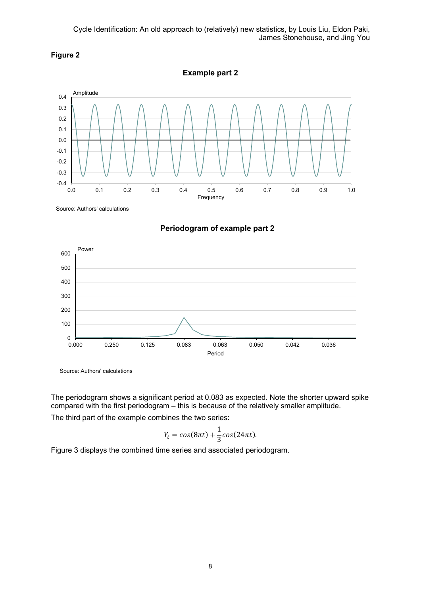

Example part 2



Source: Authors' calculations





Source: Authors' calculations

The periodogram shows a significant period at 0.083 as expected. Note the shorter upward spike compared with the first periodogram – this is because of the relatively smaller amplitude. The third part of the example combines the two series:

$$
Y_t = \cos(8\pi t) + \frac{1}{3}\cos(24\pi t).
$$

Figure 3 displays the combined time series and associated periodogram.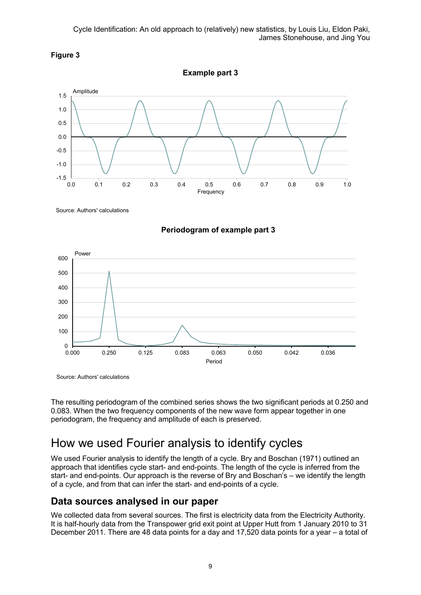

1.5

 $-1.5$   $-$ <br>0.0

-1.0 -0.5 0.0  $0.5$ 1.0

Amplitude Example part 3

0.0 0.1 0.2 0.3 0.4 0.5 0.6 0.7 0.8 0.9 1.0

Frequency







Source: Authors' calculations

The resulting periodogram of the combined series shows the two significant periods at 0.250 and 0.083. When the two frequency components of the new wave form appear together in one periodogram, the frequency and amplitude of each is preserved.

## How we used Fourier analysis to identify cycles

We used Fourier analysis to identify the length of a cycle. Bry and Boschan (1971) outlined an approach that identifies cycle start- and end-points. The length of the cycle is inferred from the start- and end-points. Our approach is the reverse of Bry and Boschan's – we identify the length of a cycle, and from that can infer the start- and end-points of a cycle.

### Data sources analysed in our paper

We collected data from several sources. The first is electricity data from the Electricity Authority. It is half-hourly data from the Transpower grid exit point at Upper Hutt from 1 January 2010 to 31 December 2011. There are 48 data points for a day and 17,520 data points for a year – a total of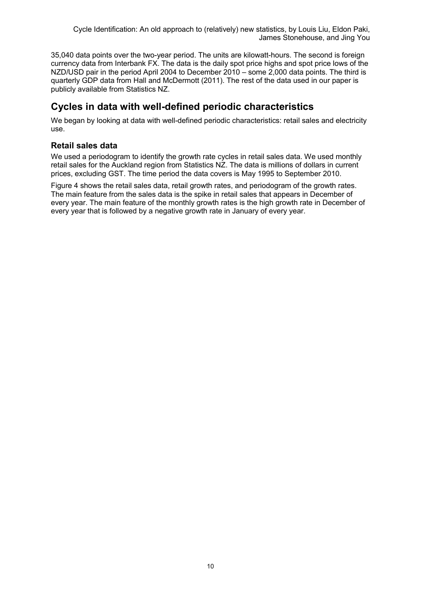35,040 data points over the two-year period. The units are kilowatt-hours. The second is foreign currency data from Interbank FX. The data is the daily spot price highs and spot price lows of the NZD/USD pair in the period April 2004 to December 2010 – some 2,000 data points. The third is quarterly GDP data from Hall and McDermott (2011). The rest of the data used in our paper is publicly available from Statistics NZ.

## Cycles in data with well-defined periodic characteristics

We began by looking at data with well-defined periodic characteristics: retail sales and electricity use.

### Retail sales data

We used a periodogram to identify the growth rate cycles in retail sales data. We used monthly retail sales for the Auckland region from Statistics NZ. The data is millions of dollars in current prices, excluding GST. The time period the data covers is May 1995 to September 2010.

Figure 4 shows the retail sales data, retail growth rates, and periodogram of the growth rates. The main feature from the sales data is the spike in retail sales that appears in December of every year. The main feature of the monthly growth rates is the high growth rate in December of every year that is followed by a negative growth rate in January of every year.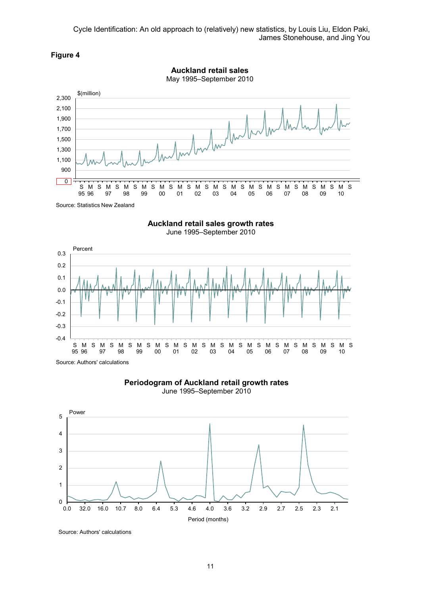



Auckland retail sales growth rates

June 1995–September 2010





June 1995–September 2010



Source: Authors' calculations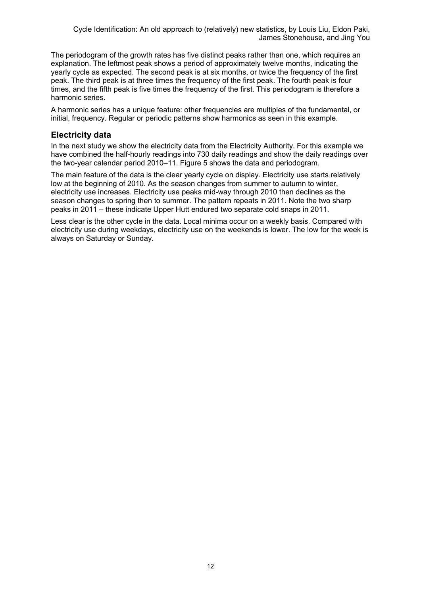The periodogram of the growth rates has five distinct peaks rather than one, which requires an explanation. The leftmost peak shows a period of approximately twelve months, indicating the yearly cycle as expected. The second peak is at six months, or twice the frequency of the first peak. The third peak is at three times the frequency of the first peak. The fourth peak is four times, and the fifth peak is five times the frequency of the first. This periodogram is therefore a harmonic series.

A harmonic series has a unique feature: other frequencies are multiples of the fundamental, or initial, frequency. Regular or periodic patterns show harmonics as seen in this example.

### Electricity data

In the next study we show the electricity data from the Electricity Authority. For this example we have combined the half-hourly readings into 730 daily readings and show the daily readings over the two-year calendar period 2010–11. Figure 5 shows the data and periodogram.

The main feature of the data is the clear yearly cycle on display. Electricity use starts relatively low at the beginning of 2010. As the season changes from summer to autumn to winter, electricity use increases. Electricity use peaks mid-way through 2010 then declines as the season changes to spring then to summer. The pattern repeats in 2011. Note the two sharp peaks in 2011 – these indicate Upper Hutt endured two separate cold snaps in 2011.

Less clear is the other cycle in the data. Local minima occur on a weekly basis. Compared with electricity use during weekdays, electricity use on the weekends is lower. The low for the week is always on Saturday or Sunday.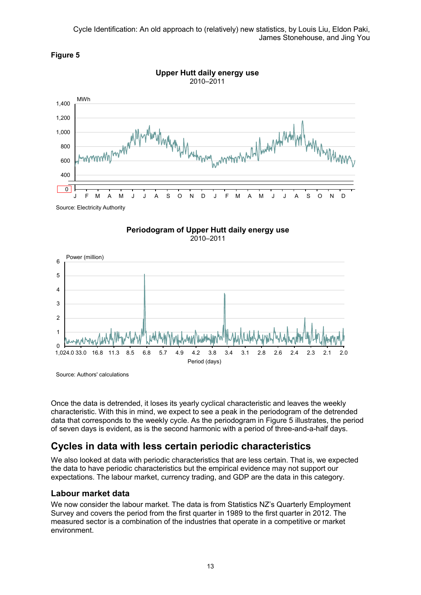







Source: Authors' calculations

Once the data is detrended, it loses its yearly cyclical characteristic and leaves the weekly characteristic. With this in mind, we expect to see a peak in the periodogram of the detrended data that corresponds to the weekly cycle. As the periodogram in Figure 5 illustrates, the period of seven days is evident, as is the second harmonic with a period of three-and-a-half days.

## Cycles in data with less certain periodic characteristics

We also looked at data with periodic characteristics that are less certain. That is, we expected the data to have periodic characteristics but the empirical evidence may not support our expectations. The labour market, currency trading, and GDP are the data in this category.

### Labour market data

We now consider the labour market. The data is from Statistics NZ's Quarterly Employment Survey and covers the period from the first quarter in 1989 to the first quarter in 2012. The measured sector is a combination of the industries that operate in a competitive or market environment.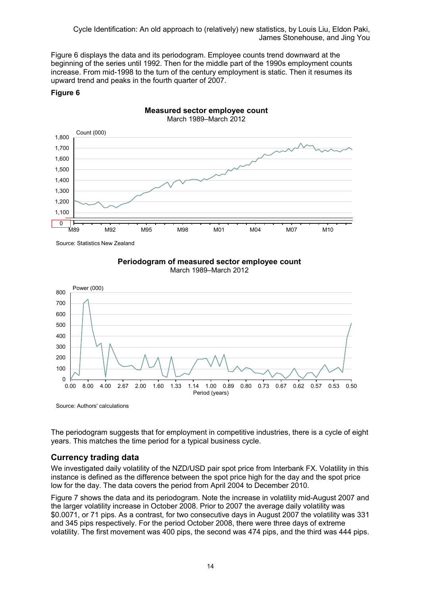Figure 6 displays the data and its periodogram. Employee counts trend downward at the beginning of the series until 1992. Then for the middle part of the 1990s employment counts increase. From mid-1998 to the turn of the century employment is static. Then it resumes its upward trend and peaks in the fourth quarter of 2007.

Measured sector employee count

#### Figure 6



Source: Statistics New Zealand





Source: Authors' calculations

The periodogram suggests that for employment in competitive industries, there is a cycle of eight years. This matches the time period for a typical business cycle.

### Currency trading data

We investigated daily volatility of the NZD/USD pair spot price from Interbank FX. Volatility in this instance is defined as the difference between the spot price high for the day and the spot price low for the day. The data covers the period from April 2004 to December 2010.

Figure 7 shows the data and its periodogram. Note the increase in volatility mid-August 2007 and the larger volatility increase in October 2008. Prior to 2007 the average daily volatility was \$0.0071, or 71 pips. As a contrast, for two consecutive days in August 2007 the volatility was 331 and 345 pips respectively. For the period October 2008, there were three days of extreme volatility. The first movement was 400 pips, the second was 474 pips, and the third was 444 pips.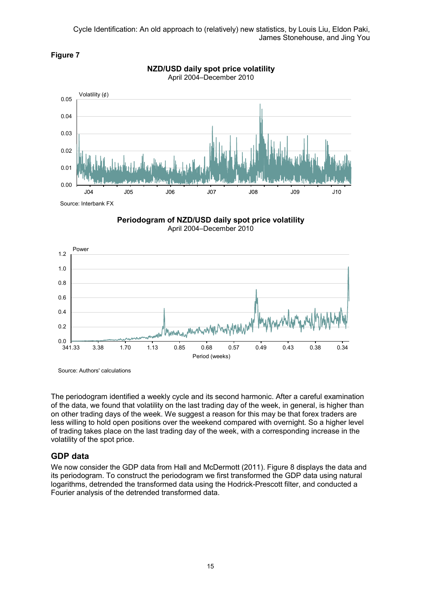





Source: Interbank FX

Figure 7

Periodogram of NZD/USD daily spot price volatility April 2004–December 2010



Source: Authors' calculations

The periodogram identified a weekly cycle and its second harmonic. After a careful examination of the data, we found that volatility on the last trading day of the week, in general, is higher than on other trading days of the week. We suggest a reason for this may be that forex traders are less willing to hold open positions over the weekend compared with overnight. So a higher level of trading takes place on the last trading day of the week, with a corresponding increase in the volatility of the spot price.

### GDP data

We now consider the GDP data from Hall and McDermott (2011). Figure 8 displays the data and its periodogram. To construct the periodogram we first transformed the GDP data using natural logarithms, detrended the transformed data using the Hodrick-Prescott filter, and conducted a Fourier analysis of the detrended transformed data.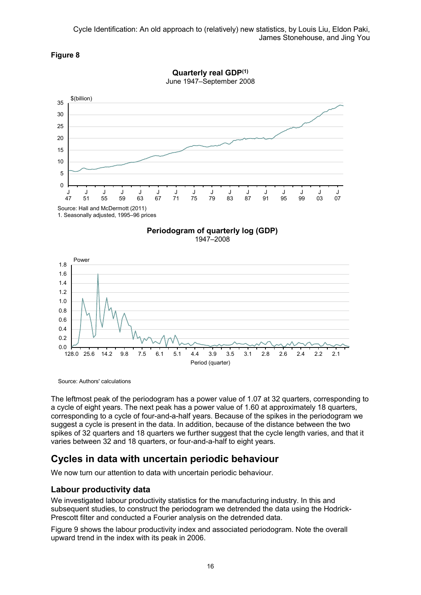



Quarterly real GDP(1)





Source: Authors' calculations

The leftmost peak of the periodogram has a power value of 1.07 at 32 quarters, corresponding to a cycle of eight years. The next peak has a power value of 1.60 at approximately 18 quarters, corresponding to a cycle of four-and-a-half years. Because of the spikes in the periodogram we suggest a cycle is present in the data. In addition, because of the distance between the two spikes of 32 quarters and 18 quarters we further suggest that the cycle length varies, and that it varies between 32 and 18 quarters, or four-and-a-half to eight years.

### Cycles in data with uncertain periodic behaviour

We now turn our attention to data with uncertain periodic behaviour.

### Labour productivity data

We investigated labour productivity statistics for the manufacturing industry. In this and subsequent studies, to construct the periodogram we detrended the data using the Hodrick-Prescott filter and conducted a Fourier analysis on the detrended data.

Figure 9 shows the labour productivity index and associated periodogram. Note the overall upward trend in the index with its peak in 2006.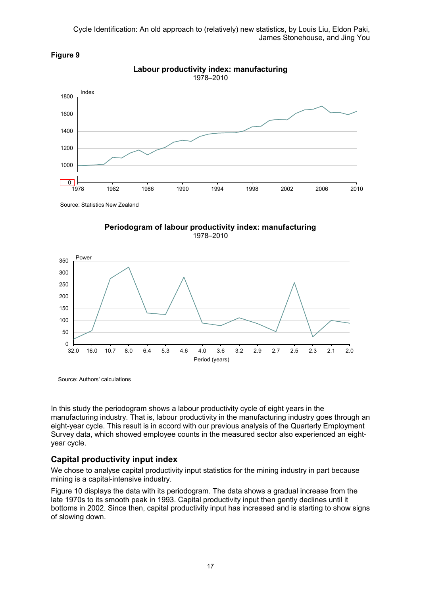

### Figure 9

Source: Statistics New Zealand





Source: Authors' calculations

In this study the periodogram shows a labour productivity cycle of eight years in the manufacturing industry. That is, labour productivity in the manufacturing industry goes through an eight-year cycle. This result is in accord with our previous analysis of the Quarterly Employment Survey data, which showed employee counts in the measured sector also experienced an eightyear cycle.

### Capital productivity input index

We chose to analyse capital productivity input statistics for the mining industry in part because mining is a capital-intensive industry.

Figure 10 displays the data with its periodogram. The data shows a gradual increase from the late 1970s to its smooth peak in 1993. Capital productivity input then gently declines until it bottoms in 2002. Since then, capital productivity input has increased and is starting to show signs of slowing down.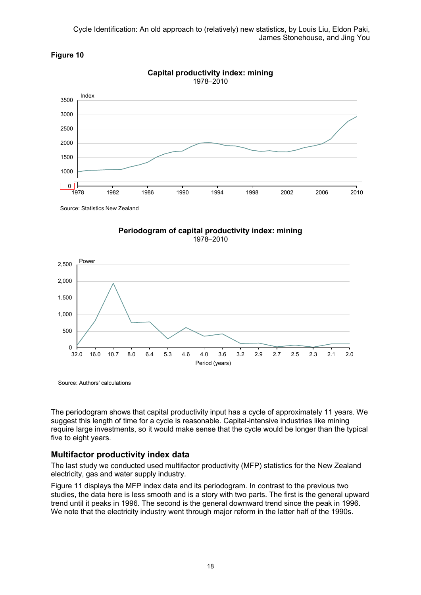



Capital productivity index: mining 1978–2010

Source: Statistics New Zealand





Source: Authors' calculations

The periodogram shows that capital productivity input has a cycle of approximately 11 years. We suggest this length of time for a cycle is reasonable. Capital-intensive industries like mining require large investments, so it would make sense that the cycle would be longer than the typical five to eight years.

### Multifactor productivity index data

The last study we conducted used multifactor productivity (MFP) statistics for the New Zealand electricity, gas and water supply industry.

Figure 11 displays the MFP index data and its periodogram. In contrast to the previous two studies, the data here is less smooth and is a story with two parts. The first is the general upward trend until it peaks in 1996. The second is the general downward trend since the peak in 1996. We note that the electricity industry went through major reform in the latter half of the 1990s.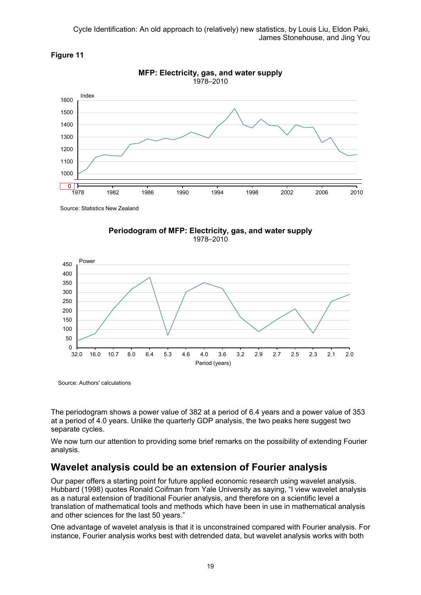



Source: Statistics New Zealand





Source: Authors' calculations

The periodogram shows a power value of 382 at a period of 6.4 years and a power value of 353 at a period of 4.0 years. Unlike the quarterly GDP analysis, the two peaks here suggest two separate cycles.

We now turn our attention to providing some brief remarks on the possibility of extending Fourier analysis.

## Wavelet analysis could be an extension of Fourier analysis

Our paper offers a starting point for future applied economic research using wavelet analysis. Hubbard (1998) quotes Ronald Coifman from Yale University as saying, "I view wavelet analysis as a natural extension of traditional Fourier analysis, and therefore on a scientific level a translation of mathematical tools and methods which have been in use in mathematical analysis and other sciences for the last 50 years."

One advantage of wavelet analysis is that it is unconstrained compared with Fourier analysis. For instance, Fourier analysis works best with detrended data, but wavelet analysis works with both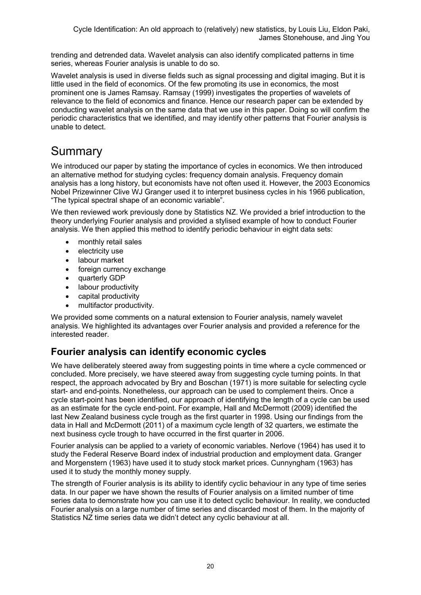trending and detrended data. Wavelet analysis can also identify complicated patterns in time series, whereas Fourier analysis is unable to do so.

Wavelet analysis is used in diverse fields such as signal processing and digital imaging. But it is little used in the field of economics. Of the few promoting its use in economics, the most prominent one is James Ramsay. Ramsay (1999) investigates the properties of wavelets of relevance to the field of economics and finance. Hence our research paper can be extended by conducting wavelet analysis on the same data that we use in this paper. Doing so will confirm the periodic characteristics that we identified, and may identify other patterns that Fourier analysis is unable to detect.

# Summary

We introduced our paper by stating the importance of cycles in economics. We then introduced an alternative method for studying cycles: frequency domain analysis. Frequency domain analysis has a long history, but economists have not often used it. However, the 2003 Economics Nobel Prizewinner Clive WJ Granger used it to interpret business cycles in his 1966 publication, "The typical spectral shape of an economic variable".

We then reviewed work previously done by Statistics NZ. We provided a brief introduction to the theory underlying Fourier analysis and provided a stylised example of how to conduct Fourier analysis. We then applied this method to identify periodic behaviour in eight data sets:

- monthly retail sales
- electricity use
- labour market
- foreign currency exchange
- quarterly GDP
- labour productivity
- capital productivity
- multifactor productivity.

We provided some comments on a natural extension to Fourier analysis, namely wavelet analysis. We highlighted its advantages over Fourier analysis and provided a reference for the interested reader.

## Fourier analysis can identify economic cycles

We have deliberately steered away from suggesting points in time where a cycle commenced or concluded. More precisely, we have steered away from suggesting cycle turning points. In that respect, the approach advocated by Bry and Boschan (1971) is more suitable for selecting cycle start- and end-points. Nonetheless, our approach can be used to complement theirs. Once a cycle start-point has been identified, our approach of identifying the length of a cycle can be used as an estimate for the cycle end-point. For example, Hall and McDermott (2009) identified the last New Zealand business cycle trough as the first quarter in 1998. Using our findings from the data in Hall and McDermott (2011) of a maximum cycle length of 32 quarters, we estimate the next business cycle trough to have occurred in the first quarter in 2006.

Fourier analysis can be applied to a variety of economic variables. Nerlove (1964) has used it to study the Federal Reserve Board index of industrial production and employment data. Granger and Morgenstern (1963) have used it to study stock market prices. Cunnyngham (1963) has used it to study the monthly money supply.

The strength of Fourier analysis is its ability to identify cyclic behaviour in any type of time series data. In our paper we have shown the results of Fourier analysis on a limited number of time series data to demonstrate how you can use it to detect cyclic behaviour. In reality, we conducted Fourier analysis on a large number of time series and discarded most of them. In the majority of Statistics NZ time series data we didn't detect any cyclic behaviour at all.